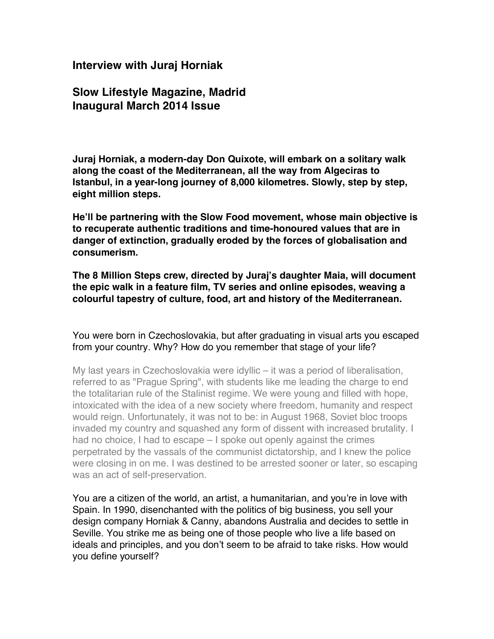# **Interview with Juraj Horniak**

# **Slow Lifestyle Magazine, Madrid Inaugural March 2014 Issue**

**Juraj Horniak, a modern-day Don Quixote, will embark on a solitary walk along the coast of the Mediterranean, all the way from Algeciras to Istanbul, in a year-long journey of 8,000 kilometres. Slowly, step by step, eight million steps.**

**He'll be partnering with the Slow Food movement, whose main objective is to recuperate authentic traditions and time-honoured values that are in danger of extinction, gradually eroded by the forces of globalisation and consumerism.**

**The 8 Million Steps crew, directed by Juraj's daughter Maia, will document the epic walk in a feature film, TV series and online episodes, weaving a colourful tapestry of culture, food, art and history of the Mediterranean.**

You were born in Czechoslovakia, but after graduating in visual arts you escaped from your country. Why? How do you remember that stage of your life?

My last years in Czechoslovakia were idyllic – it was a period of liberalisation, referred to as "Prague Spring", with students like me leading the charge to end the totalitarian rule of the Stalinist regime. We were young and filled with hope, intoxicated with the idea of a new society where freedom, humanity and respect would reign. Unfortunately, it was not to be: in August 1968, Soviet bloc troops invaded my country and squashed any form of dissent with increased brutality. I had no choice. I had to escape – I spoke out openly against the crimes perpetrated by the vassals of the communist dictatorship, and I knew the police were closing in on me. I was destined to be arrested sooner or later, so escaping was an act of self-preservation.

You are a citizen of the world, an artist, a humanitarian, and you're in love with Spain. In 1990, disenchanted with the politics of big business, you sell your design company Horniak & Canny, abandons Australia and decides to settle in Seville. You strike me as being one of those people who live a life based on ideals and principles, and you don't seem to be afraid to take risks. How would you define yourself?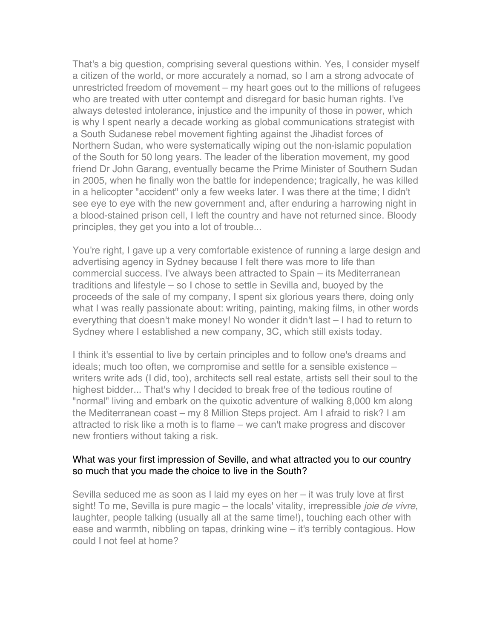That's a big question, comprising several questions within. Yes, I consider myself a citizen of the world, or more accurately a nomad, so I am a strong advocate of unrestricted freedom of movement – my heart goes out to the millions of refugees who are treated with utter contempt and disregard for basic human rights. I've always detested intolerance, injustice and the impunity of those in power, which is why I spent nearly a decade working as global communications strategist with a South Sudanese rebel movement fighting against the Jihadist forces of Northern Sudan, who were systematically wiping out the non-islamic population of the South for 50 long years. The leader of the liberation movement, my good friend Dr John Garang, eventually became the Prime Minister of Southern Sudan in 2005, when he finally won the battle for independence; tragically, he was killed in a helicopter "accident" only a few weeks later. I was there at the time; I didn't see eye to eye with the new government and, after enduring a harrowing night in a blood-stained prison cell, I left the country and have not returned since. Bloody principles, they get you into a lot of trouble...

You're right, I gave up a very comfortable existence of running a large design and advertising agency in Sydney because I felt there was more to life than commercial success. I've always been attracted to Spain – its Mediterranean traditions and lifestyle – so I chose to settle in Sevilla and, buoyed by the proceeds of the sale of my company, I spent six glorious years there, doing only what I was really passionate about: writing, painting, making films, in other words everything that doesn't make money! No wonder it didn't last – I had to return to Sydney where I established a new company, 3C, which still exists today.

I think it's essential to live by certain principles and to follow one's dreams and ideals; much too often, we compromise and settle for a sensible existence – writers write ads (I did, too), architects sell real estate, artists sell their soul to the highest bidder... That's why I decided to break free of the tedious routine of "normal" living and embark on the quixotic adventure of walking 8,000 km along the Mediterranean coast – my 8 Million Steps project. Am I afraid to risk? I am attracted to risk like a moth is to flame – we can't make progress and discover new frontiers without taking a risk.

#### What was your first impression of Seville, and what attracted you to our country so much that you made the choice to live in the South?

Sevilla seduced me as soon as I laid my eyes on her – it was truly love at first sight! To me, Sevilla is pure magic – the locals' vitality, irrepressible *joie de vivre*, laughter, people talking (usually all at the same time!), touching each other with ease and warmth, nibbling on tapas, drinking wine – it's terribly contagious. How could I not feel at home?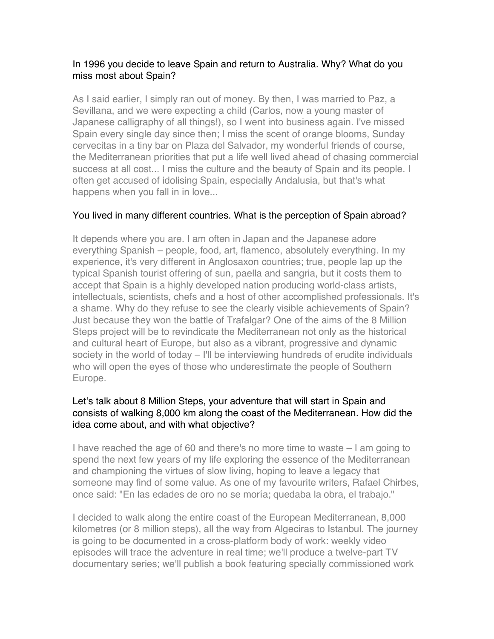### In 1996 you decide to leave Spain and return to Australia. Why? What do you miss most about Spain?

As I said earlier, I simply ran out of money. By then, I was married to Paz, a Sevillana, and we were expecting a child (Carlos, now a young master of Japanese calligraphy of all things!), so I went into business again. I've missed Spain every single day since then; I miss the scent of orange blooms, Sunday cervecitas in a tiny bar on Plaza del Salvador, my wonderful friends of course, the Mediterranean priorities that put a life well lived ahead of chasing commercial success at all cost... I miss the culture and the beauty of Spain and its people. I often get accused of idolising Spain, especially Andalusia, but that's what happens when you fall in in love...

# You lived in many different countries. What is the perception of Spain abroad?

It depends where you are. I am often in Japan and the Japanese adore everything Spanish – people, food, art, flamenco, absolutely everything. In my experience, it's very different in Anglosaxon countries; true, people lap up the typical Spanish tourist offering of sun, paella and sangria, but it costs them to accept that Spain is a highly developed nation producing world-class artists, intellectuals, scientists, chefs and a host of other accomplished professionals. It's a shame. Why do they refuse to see the clearly visible achievements of Spain? Just because they won the battle of Trafalgar? One of the aims of the 8 Million Steps project will be to revindicate the Mediterranean not only as the historical and cultural heart of Europe, but also as a vibrant, progressive and dynamic society in the world of today – I'll be interviewing hundreds of erudite individuals who will open the eyes of those who underestimate the people of Southern Europe.

### Let's talk about 8 Million Steps, your adventure that will start in Spain and consists of walking 8,000 km along the coast of the Mediterranean. How did the idea come about, and with what objective?

I have reached the age of 60 and there's no more time to waste – I am going to spend the next few years of my life exploring the essence of the Mediterranean and championing the virtues of slow living, hoping to leave a legacy that someone may find of some value. As one of my favourite writers, Rafael Chirbes, once said: "En las edades de oro no se moría; quedaba la obra, el trabajo."

I decided to walk along the entire coast of the European Mediterranean, 8,000 kilometres (or 8 million steps), all the way from Algeciras to Istanbul. The journey is going to be documented in a cross-platform body of work: weekly video episodes will trace the adventure in real time; we'll produce a twelve-part TV documentary series; we'll publish a book featuring specially commissioned work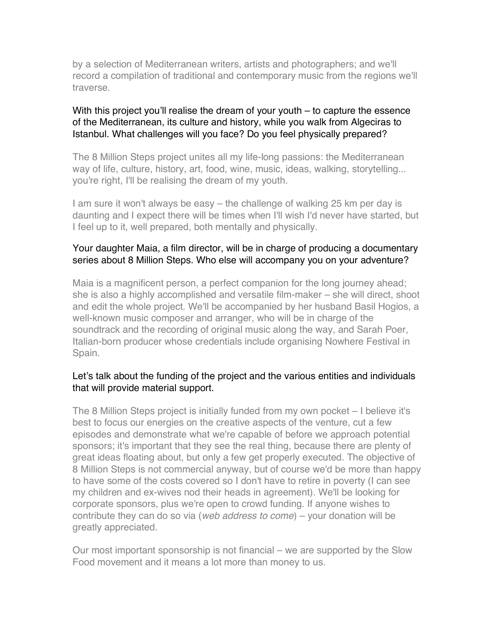by a selection of Mediterranean writers, artists and photographers; and we'll record a compilation of traditional and contemporary music from the regions we'll traverse.

#### With this project you'll realise the dream of your youth – to capture the essence of the Mediterranean, its culture and history, while you walk from Algeciras to Istanbul. What challenges will you face? Do you feel physically prepared?

The 8 Million Steps project unites all my life-long passions: the Mediterranean way of life, culture, history, art, food, wine, music, ideas, walking, storytelling... you're right, I'll be realising the dream of my youth.

I am sure it won't always be easy – the challenge of walking 25 km per day is daunting and I expect there will be times when I'll wish I'd never have started, but I feel up to it, well prepared, both mentally and physically.

### Your daughter Maia, a film director, will be in charge of producing a documentary series about 8 Million Steps. Who else will accompany you on your adventure?

Maia is a magnificent person, a perfect companion for the long journey ahead; she is also a highly accomplished and versatile film-maker – she will direct, shoot and edit the whole project. We'll be accompanied by her husband Basil Hogios, a well-known music composer and arranger, who will be in charge of the soundtrack and the recording of original music along the way, and Sarah Poer, Italian-born producer whose credentials include organising Nowhere Festival in Spain.

### Let's talk about the funding of the project and the various entities and individuals that will provide material support.

The 8 Million Steps project is initially funded from my own pocket – I believe it's best to focus our energies on the creative aspects of the venture, cut a few episodes and demonstrate what we're capable of before we approach potential sponsors; it's important that they see the real thing, because there are plenty of great ideas floating about, but only a few get properly executed. The objective of 8 Million Steps is not commercial anyway, but of course we'd be more than happy to have some of the costs covered so I don't have to retire in poverty (I can see my children and ex-wives nod their heads in agreement). We'll be looking for corporate sponsors, plus we're open to crowd funding. If anyone wishes to contribute they can do so via (*web address to come*) – your donation will be greatly appreciated.

Our most important sponsorship is not financial – we are supported by the Slow Food movement and it means a lot more than money to us.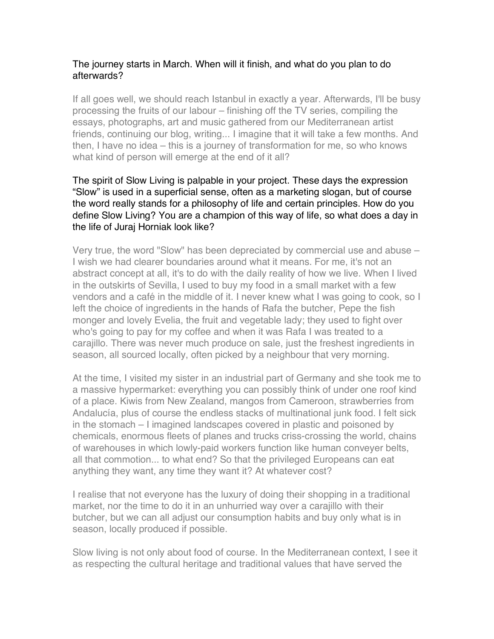### The journey starts in March. When will it finish, and what do you plan to do afterwards?

If all goes well, we should reach Istanbul in exactly a year. Afterwards, I'll be busy processing the fruits of our labour – finishing off the TV series, compiling the essays, photographs, art and music gathered from our Mediterranean artist friends, continuing our blog, writing... I imagine that it will take a few months. And then, I have no idea – this is a journey of transformation for me, so who knows what kind of person will emerge at the end of it all?

#### The spirit of Slow Living is palpable in your project. These days the expression "Slow" is used in a superficial sense, often as a marketing slogan, but of course the word really stands for a philosophy of life and certain principles. How do you define Slow Living? You are a champion of this way of life, so what does a day in the life of Juraj Horniak look like?

Very true, the word "Slow" has been depreciated by commercial use and abuse – I wish we had clearer boundaries around what it means. For me, it's not an abstract concept at all, it's to do with the daily reality of how we live. When I lived in the outskirts of Sevilla, I used to buy my food in a small market with a few vendors and a café in the middle of it. I never knew what I was going to cook, so I left the choice of ingredients in the hands of Rafa the butcher, Pepe the fish monger and lovely Evelia, the fruit and vegetable lady; they used to fight over who's going to pay for my coffee and when it was Rafa I was treated to a carajillo. There was never much produce on sale, just the freshest ingredients in season, all sourced locally, often picked by a neighbour that very morning.

At the time, I visited my sister in an industrial part of Germany and she took me to a massive hypermarket: everything you can possibly think of under one roof kind of a place. Kiwis from New Zealand, mangos from Cameroon, strawberries from Andalucía, plus of course the endless stacks of multinational junk food. I felt sick in the stomach – I imagined landscapes covered in plastic and poisoned by chemicals, enormous fleets of planes and trucks criss-crossing the world, chains of warehouses in which lowly-paid workers function like human conveyer belts, all that commotion... to what end? So that the privileged Europeans can eat anything they want, any time they want it? At whatever cost?

I realise that not everyone has the luxury of doing their shopping in a traditional market, nor the time to do it in an unhurried way over a carajillo with their butcher, but we can all adjust our consumption habits and buy only what is in season, locally produced if possible.

Slow living is not only about food of course. In the Mediterranean context, I see it as respecting the cultural heritage and traditional values that have served the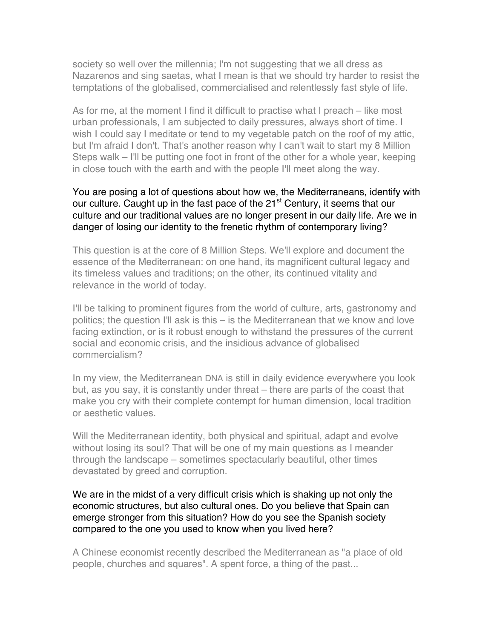society so well over the millennia; I'm not suggesting that we all dress as Nazarenos and sing saetas, what I mean is that we should try harder to resist the temptations of the globalised, commercialised and relentlessly fast style of life.

As for me, at the moment I find it difficult to practise what I preach – like most urban professionals, I am subjected to daily pressures, always short of time. I wish I could say I meditate or tend to my vegetable patch on the roof of my attic, but I'm afraid I don't. That's another reason why I can't wait to start my 8 Million Steps walk – I'll be putting one foot in front of the other for a whole year, keeping in close touch with the earth and with the people I'll meet along the way.

#### You are posing a lot of questions about how we, the Mediterraneans, identify with our culture. Caught up in the fast pace of the 21<sup>st</sup> Century, it seems that our culture and our traditional values are no longer present in our daily life. Are we in danger of losing our identity to the frenetic rhythm of contemporary living?

This question is at the core of 8 Million Steps. We'll explore and document the essence of the Mediterranean: on one hand, its magnificent cultural legacy and its timeless values and traditions; on the other, its continued vitality and relevance in the world of today.

I'll be talking to prominent figures from the world of culture, arts, gastronomy and politics; the question I'll ask is this – is the Mediterranean that we know and love facing extinction, or is it robust enough to withstand the pressures of the current social and economic crisis, and the insidious advance of globalised commercialism?

In my view, the Mediterranean DNA is still in daily evidence everywhere you look but, as you say, it is constantly under threat – there are parts of the coast that make you cry with their complete contempt for human dimension, local tradition or aesthetic values.

Will the Mediterranean identity, both physical and spiritual, adapt and evolve without losing its soul? That will be one of my main questions as I meander through the landscape – sometimes spectacularly beautiful, other times devastated by greed and corruption.

We are in the midst of a very difficult crisis which is shaking up not only the economic structures, but also cultural ones. Do you believe that Spain can emerge stronger from this situation? How do you see the Spanish society compared to the one you used to know when you lived here?

A Chinese economist recently described the Mediterranean as "a place of old people, churches and squares". A spent force, a thing of the past...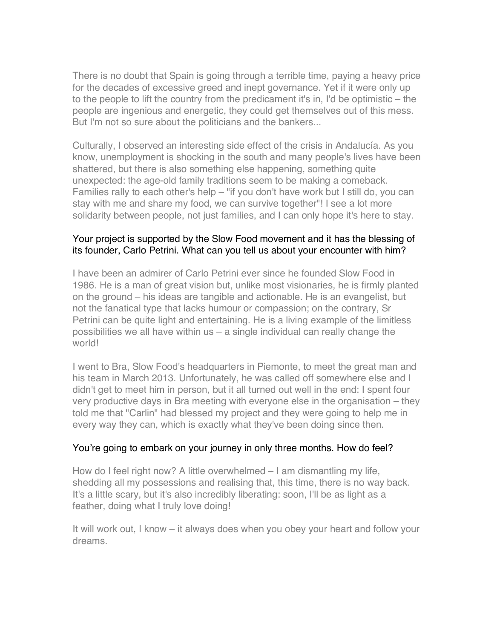There is no doubt that Spain is going through a terrible time, paying a heavy price for the decades of excessive greed and inept governance. Yet if it were only up to the people to lift the country from the predicament it's in, I'd be optimistic – the people are ingenious and energetic, they could get themselves out of this mess. But I'm not so sure about the politicians and the bankers...

Culturally, I observed an interesting side effect of the crisis in Andalucía. As you know, unemployment is shocking in the south and many people's lives have been shattered, but there is also something else happening, something quite unexpected: the age-old family traditions seem to be making a comeback. Families rally to each other's help – "if you don't have work but I still do, you can stay with me and share my food, we can survive together"! I see a lot more solidarity between people, not just families, and I can only hope it's here to stay.

#### Your project is supported by the Slow Food movement and it has the blessing of its founder, Carlo Petrini. What can you tell us about your encounter with him?

I have been an admirer of Carlo Petrini ever since he founded Slow Food in 1986. He is a man of great vision but, unlike most visionaries, he is firmly planted on the ground – his ideas are tangible and actionable. He is an evangelist, but not the fanatical type that lacks humour or compassion; on the contrary, Sr Petrini can be quite light and entertaining. He is a living example of the limitless possibilities we all have within us – a single individual can really change the world!

I went to Bra, Slow Food's headquarters in Piemonte, to meet the great man and his team in March 2013. Unfortunately, he was called off somewhere else and I didn't get to meet him in person, but it all turned out well in the end: I spent four very productive days in Bra meeting with everyone else in the organisation – they told me that "Carlin" had blessed my project and they were going to help me in every way they can, which is exactly what they've been doing since then.

# You're going to embark on your journey in only three months. How do feel?

How do I feel right now? A little overwhelmed – I am dismantling my life, shedding all my possessions and realising that, this time, there is no way back. It's a little scary, but it's also incredibly liberating: soon, I'll be as light as a feather, doing what I truly love doing!

It will work out, I know – it always does when you obey your heart and follow your dreams.